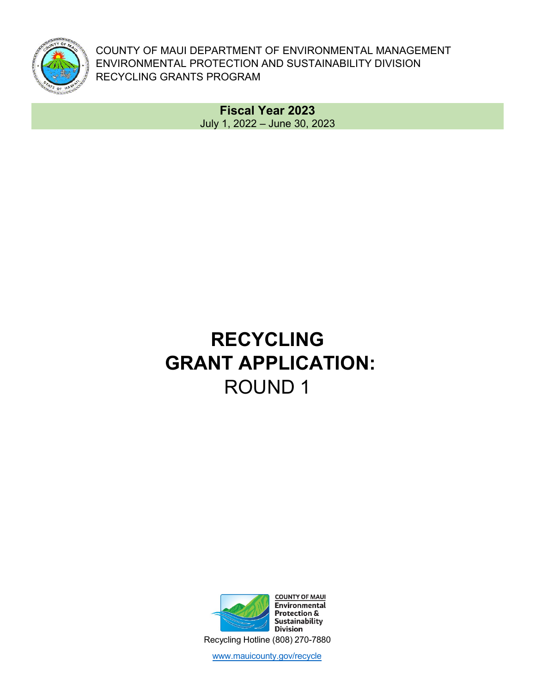

COUNTY OF MAUI DEPARTMENT OF ENVIRONMENTAL MANAGEMENT ENVIRONMENTAL PROTECTION AND SUSTAINABILITY DIVISION RECYCLING GRANTS PROGRAM

> **Fiscal Year 2023** July 1, 2022 – June 30, 2023

# **RECYCLING GRANT APPLICATION:**  ROUND 1



www.mauicounty.gov/recycle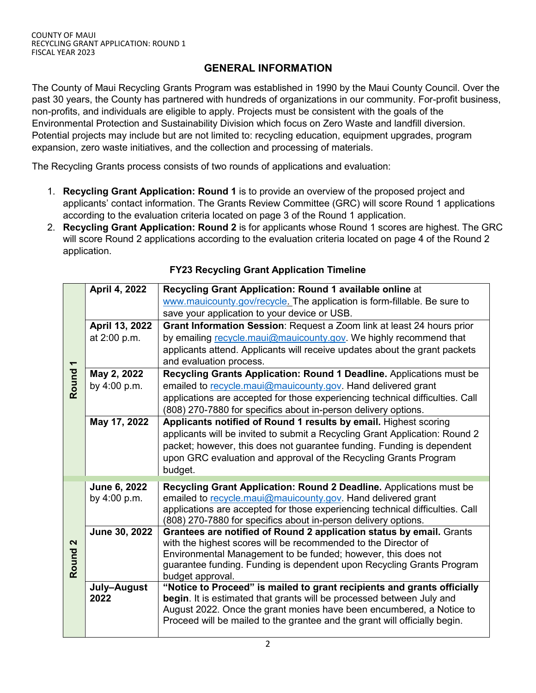#### **[GENERAL INFORMATIO](http://www.mauicounty.gov/recycle)N**

The County of Maui Recycling Grants Program was established in 1990 by the Maui County Council. Over the past 30 years, the County has partnered with hundreds of organizations in our community. For-profit business, non-profits, and individuals are eligible to apply. Projects must be consistent with the goals of the Environmental Protection and Sustainability Division which focus on Zero Waste and landfill diversion. Potential projects may include but are not limited to: recycling education, equipment upgrades, program expansion, zero waste initiatives, and the collection and processing of materials.

The Recycling Grants process consists of two rounds of applications and evaluation:

- 1. **Recycling Grant Application: Round 1** is to provide an overview of the proposed project and applicants' contact information. The Grants Review Committee (GRC) will score Round 1 applications according to the evaluation criteria located on page 3 of the Round 1 application.
- 2. **Recycling Grant Application: Round 2** is for applicants whose Round 1 scores are highest. The GRC will score Round 2 applications according to the evaluation criteria located on page 4 of the Round 2 application.

|                      | April 4, 2022                                            |                                                                               |
|----------------------|----------------------------------------------------------|-------------------------------------------------------------------------------|
|                      | Recycling Grant Application: Round 1 available online at |                                                                               |
|                      |                                                          | www.mauicounty.gov/recycle. The application is form-fillable. Be sure to      |
|                      |                                                          | save your application to your device or USB.                                  |
|                      | April 13, 2022                                           | Grant Information Session: Request a Zoom link at least 24 hours prior        |
|                      | at 2:00 p.m.                                             | by emailing recycle.maui@mauicounty.gov. We highly recommend that             |
|                      |                                                          | applicants attend. Applicants will receive updates about the grant packets    |
| $\blacktriangledown$ |                                                          | and evaluation process.                                                       |
|                      | May 2, 2022                                              | Recycling Grants Application: Round 1 Deadline. Applications must be          |
| Round                | by 4:00 p.m.                                             | emailed to recycle.maui@mauicounty.gov. Hand delivered grant                  |
|                      |                                                          | applications are accepted for those experiencing technical difficulties. Call |
|                      |                                                          | (808) 270-7880 for specifics about in-person delivery options.                |
|                      | May 17, 2022                                             | Applicants notified of Round 1 results by email. Highest scoring              |
|                      |                                                          | applicants will be invited to submit a Recycling Grant Application: Round 2   |
|                      |                                                          | packet; however, this does not guarantee funding. Funding is dependent        |
|                      |                                                          | upon GRC evaluation and approval of the Recycling Grants Program              |
|                      |                                                          | budget.                                                                       |
|                      |                                                          |                                                                               |
|                      | June 6, 2022                                             | Recycling Grant Application: Round 2 Deadline. Applications must be           |
|                      | by 4:00 p.m.                                             | emailed to recycle.maui@mauicounty.gov. Hand delivered grant                  |
|                      |                                                          |                                                                               |
|                      |                                                          | applications are accepted for those experiencing technical difficulties. Call |
|                      |                                                          | (808) 270-7880 for specifics about in-person delivery options.                |
|                      | June 30, 2022                                            | Grantees are notified of Round 2 application status by email. Grants          |
| 2                    |                                                          | with the highest scores will be recommended to the Director of                |
|                      |                                                          | Environmental Management to be funded; however, this does not                 |
|                      |                                                          | guarantee funding. Funding is dependent upon Recycling Grants Program         |
| Round                |                                                          | budget approval.                                                              |
|                      | July-August                                              | "Notice to Proceed" is mailed to grant recipients and grants officially       |
|                      | 2022                                                     | begin. It is estimated that grants will be processed between July and         |
|                      |                                                          | August 2022. Once the grant monies have been encumbered, a Notice to          |
|                      |                                                          | Proceed will be mailed to the grantee and the grant will officially begin.    |

#### **FY23 Recycling Grant Application Timeline**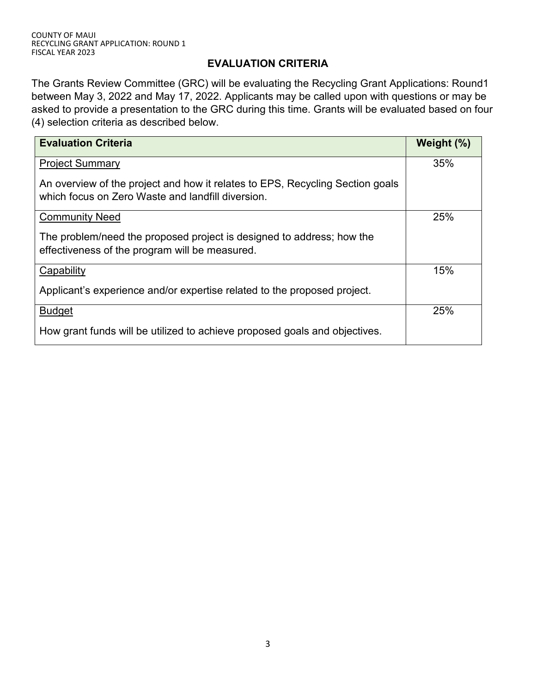#### **EVALUATION CRITERIA**

The Grants Review Committee (GRC) will be evaluating the Recycling Grant Applications: Round1 between May 3, 2022 and May 17, 2022. Applicants may be called upon with questions or may be asked to provide a presentation to the GRC during this time. Grants will be evaluated based on four (4) selection criteria as described below.

| <b>Evaluation Criteria</b>                                                                                                         | Weight (%) |
|------------------------------------------------------------------------------------------------------------------------------------|------------|
| <b>Project Summary</b>                                                                                                             | 35%        |
| An overview of the project and how it relates to EPS, Recycling Section goals<br>which focus on Zero Waste and landfill diversion. |            |
| <b>Community Need</b>                                                                                                              | 25%        |
| The problem/need the proposed project is designed to address; how the<br>effectiveness of the program will be measured.            |            |
| Capability                                                                                                                         | 15%        |
| Applicant's experience and/or expertise related to the proposed project.                                                           |            |
| <b>Budget</b>                                                                                                                      | 25%        |
| How grant funds will be utilized to achieve proposed goals and objectives.                                                         |            |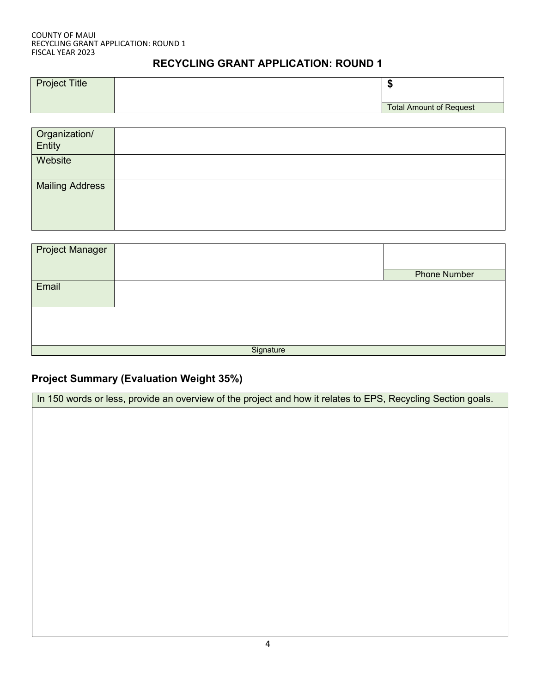### **RECYCLING GRANT APPLICATION: ROUND 1**

| <b>Project Title</b> | - 11                           |
|----------------------|--------------------------------|
|                      | <b>Total Amount of Request</b> |

| Organization/<br>Entity |  |
|-------------------------|--|
| Website                 |  |
| <b>Mailing Address</b>  |  |

| Project Manager |           |                     |
|-----------------|-----------|---------------------|
|                 |           | <b>Phone Number</b> |
| Email           |           |                     |
|                 |           |                     |
|                 |           |                     |
|                 |           |                     |
|                 |           |                     |
|                 | Signature |                     |

## **Project Summary (Evaluation Weight 35%)**

| In 150 words or less, provide an overview of the project and how it relates to EPS, Recycling Section goals. |
|--------------------------------------------------------------------------------------------------------------|
|                                                                                                              |
|                                                                                                              |
|                                                                                                              |
|                                                                                                              |
|                                                                                                              |
|                                                                                                              |
|                                                                                                              |
|                                                                                                              |
|                                                                                                              |
|                                                                                                              |
|                                                                                                              |
|                                                                                                              |
|                                                                                                              |
|                                                                                                              |
| 4                                                                                                            |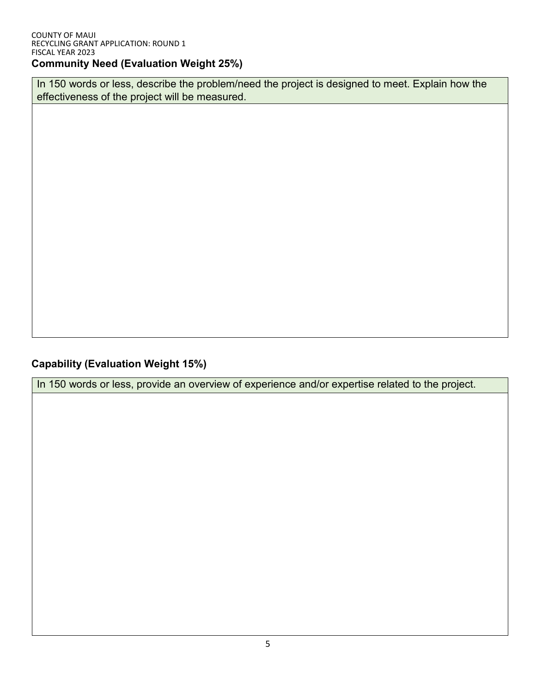In 150 words or less, describe the problem/need the project is designed to meet. Explain how the effectiveness of the project will be measured.

**Capability (Evaluation Weight 15%)**

In 150 words or less, provide an overview of experience and/or expertise related to the project.